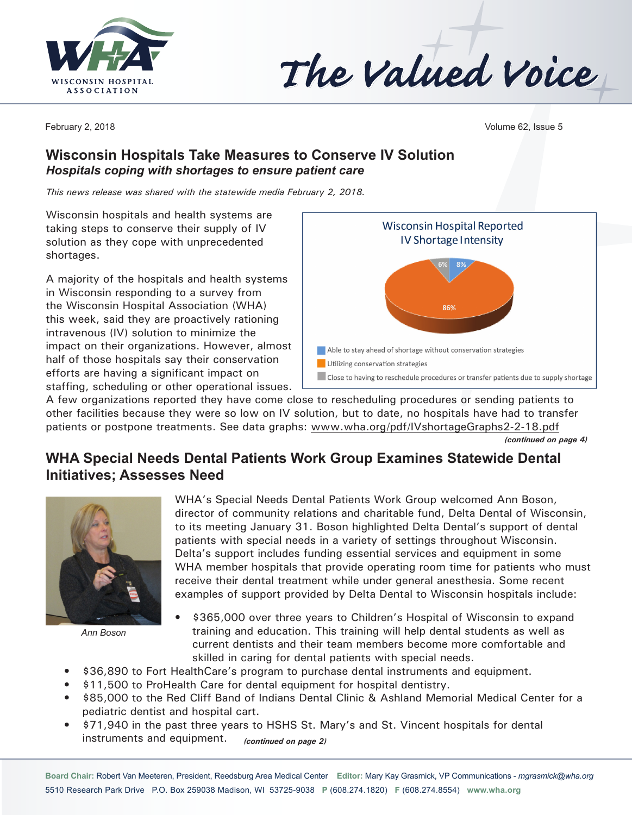

The Valued Voice

February 2, 2018 Volume 62, Issue 5

### **Wisconsin Hospitals Take Measures to Conserve IV Solution** *Hospitals coping with shortages to ensure patient care*

*This news release was shared with the statewide media February 2, 2018.*

Wisconsin hospitals and health systems are taking steps to conserve their supply of IV solution as they cope with unprecedented shortages.

A majority of the hospitals and health systems in Wisconsin responding to a survey from the Wisconsin Hospital Association (WHA) this week, said they are proactively rationing intravenous (IV) solution to minimize the impact on their organizations. However, almost half of those hospitals say their conservation efforts are having a significant impact on staffing, scheduling or other operational issues.



A few organizations reported they have come close to rescheduling procedures or sending patients to other facilities because they were so low on IV solution, but to date, no hospitals have had to transfer patients or postpone treatments. See data graphs: [www.wha.org/pdf/IVshortageGraphs2-2-18.pdf](http://www.wha.org/pdf/IVshortageGraphs2-2-18.pdf)

*(continued on page 4)*

## **WHA Special Needs Dental Patients Work Group Examines Statewide Dental Initiatives; Assesses Need**



*Ann Boson*

WHA's Special Needs Dental Patients Work Group welcomed Ann Boson, director of community relations and charitable fund, Delta Dental of Wisconsin, to its meeting January 31. Boson highlighted Delta Dental's support of dental patients with special needs in a variety of settings throughout Wisconsin. Delta's support includes funding essential services and equipment in some WHA member hospitals that provide operating room time for patients who must receive their dental treatment while under general anesthesia. Some recent examples of support provided by Delta Dental to Wisconsin hospitals include:

- \$365,000 over three years to Children's Hospital of Wisconsin to expand training and education. This training will help dental students as well as current dentists and their team members become more comfortable and skilled in caring for dental patients with special needs.
- \$36,890 to Fort HealthCare's program to purchase dental instruments and equipment.
- \$11,500 to ProHealth Care for dental equipment for hospital dentistry.
- \$85,000 to the Red Cliff Band of Indians Dental Clinic & Ashland Memorial Medical Center for a pediatric dentist and hospital cart.
- \$71,940 in the past three years to HSHS St. Mary's and St. Vincent hospitals for dental instruments and equipment. *(continued on page 2)*

**Board Chair:** Robert Van Meeteren, President, Reedsburg Area Medical Center **Editor:** Mary Kay Grasmick, VP Communications - *[mgrasmick@wha.org](mailto:mgrasmick@wha.org)* 5510 Research Park Drive P.O. Box 259038 Madison, WI 53725-9038 **P** (608.274.1820) **F** (608.274.8554) **[www.wha.org](http://www.wha.org)**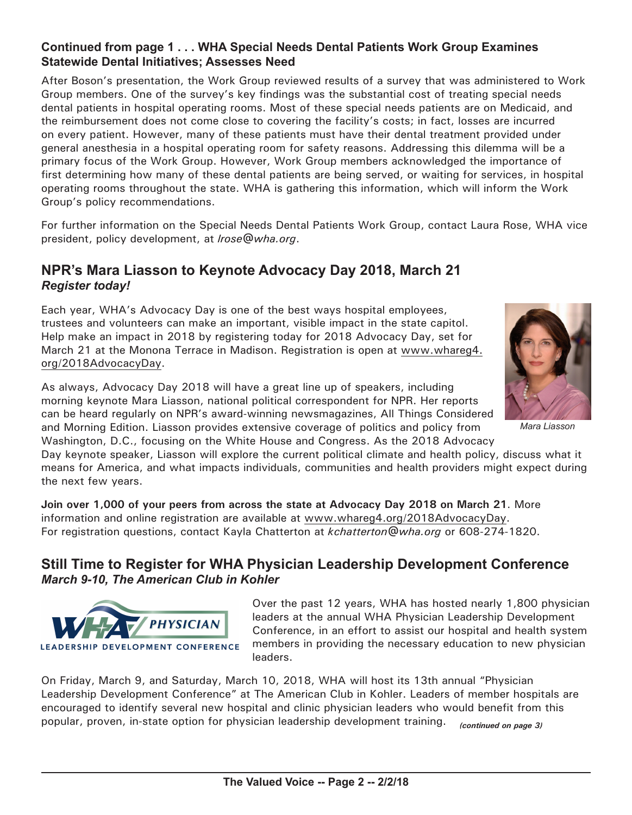#### **Continued from page 1 . . . WHA Special Needs Dental Patients Work Group Examines Statewide Dental Initiatives; Assesses Need**

After Boson's presentation, the Work Group reviewed results of a survey that was administered to Work Group members. One of the survey's key findings was the substantial cost of treating special needs dental patients in hospital operating rooms. Most of these special needs patients are on Medicaid, and the reimbursement does not come close to covering the facility's costs; in fact, losses are incurred on every patient. However, many of these patients must have their dental treatment provided under general anesthesia in a hospital operating room for safety reasons. Addressing this dilemma will be a primary focus of the Work Group. However, Work Group members acknowledged the importance of first determining how many of these dental patients are being served, or waiting for services, in hospital operating rooms throughout the state. WHA is gathering this information, which will inform the Work Group's policy recommendations.

For further information on the Special Needs Dental Patients Work Group, contact Laura Rose, WHA vice president, policy development, at *[lrose@wha.org](mailto:lrose@wha.org)*.

## **NPR's Mara Liasson to Keynote Advocacy Day 2018, March 21** *Register today!*

Each year, WHA's Advocacy Day is one of the best ways hospital employees, trustees and volunteers can make an important, visible impact in the state capitol. Help make an impact in 2018 by registering today for 2018 Advocacy Day, set for March 21 at the Monona Terrace in Madison. Registration is open at [www.whareg4.](http://www.whareg4.org/2018AdvocacyDay) [org/](http://www.whareg4.org/2018AdvocacyDay)2018AdvocacyDay.

As always, Advocacy Day 2018 will have a great line up of speakers, including morning keynote Mara Liasson, national political correspondent for NPR. Her reports can be heard regularly on NPR's award-winning newsmagazines, All Things Considered and Morning Edition. Liasson provides extensive coverage of politics and policy from Washington, D.C., focusing on the White House and Congress. As the 2018 Advocacy



*Mara Liasson*

Day keynote speaker, Liasson will explore the current political climate and health policy, discuss what it means for America, and what impacts individuals, communities and health providers might expect during the next few years.

**Join over 1,000 of your peers from across the state at Advocacy Day 2018 on March 21**. More information and online registration are available at [www.whareg4.org/](http://www.whareg4.org/2018AdvocacyDay)2018AdvocacyDay. For registration questions, contact Kayla Chatterton at *[kchatterton@wha.org](mailto:kchatterton@wha.org)* or 608-274-1820.

## **Still Time to Register for WHA Physician Leadership Development Conference** *March 9-10, The American Club in Kohler*



Over the past 12 years, WHA has hosted nearly 1,800 physician leaders at the annual WHA Physician Leadership Development Conference, in an effort to assist our hospital and health system members in providing the necessary education to new physician leaders.

On Friday, March 9, and Saturday, March 10, 2018, WHA will host its 13th annual "Physician Leadership Development Conference" at The American Club in Kohler. Leaders of member hospitals are encouraged to identify several new hospital and clinic physician leaders who would benefit from this popular, proven, in-state option for physician leadership development training. *(continued on page 3)*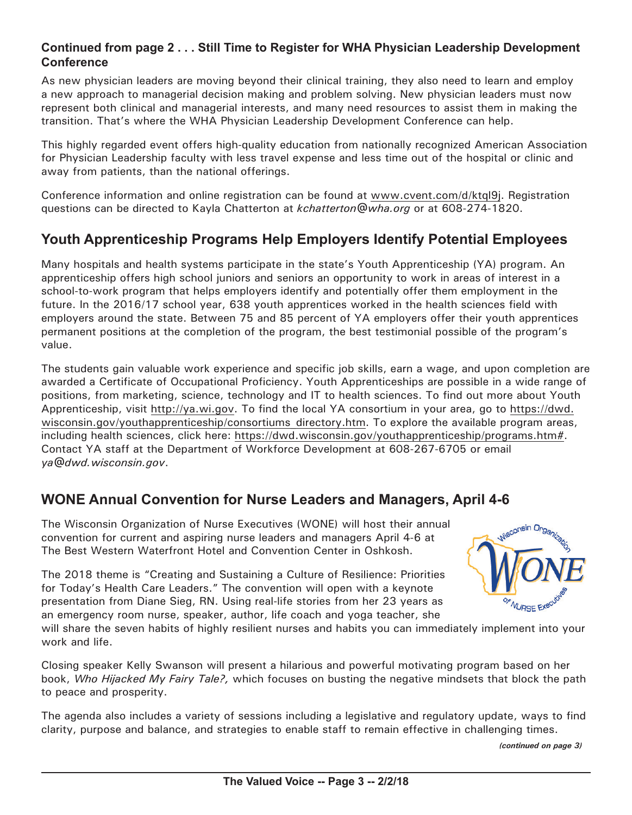#### **Continued from page 2 . . . Still Time to Register for WHA Physician Leadership Development Conference**

As new physician leaders are moving beyond their clinical training, they also need to learn and employ a new approach to managerial decision making and problem solving. New physician leaders must now represent both clinical and managerial interests, and many need resources to assist them in making the transition. That's where the WHA Physician Leadership Development Conference can help.

This highly regarded event offers high-quality education from nationally recognized American Association for Physician Leadership faculty with less travel expense and less time out of the hospital or clinic and away from patients, than the national offerings.

Conference information and online registration can be found at [www.cvent.com/d/ktql9](http://www.cvent.com/d/ktql9j)j. Registration questions can be directed to Kayla Chatterton at *[kchatterton@wha.org](mailto:kchatterton@wha.org)* or at 608-274-1820.

# **Youth Apprenticeship Programs Help Employers Identify Potential Employees**

Many hospitals and health systems participate in the state's Youth Apprenticeship (YA) program. An apprenticeship offers high school juniors and seniors an opportunity to work in areas of interest in a school-to-work program that helps employers identify and potentially offer them employment in the future. In the 2016/17 school year, 638 youth apprentices worked in the health sciences field with employers around the state. Between 75 and 85 percent of YA employers offer their youth apprentices permanent positions at the completion of the program, the best testimonial possible of the program's value.

The students gain valuable work experience and specific job skills, earn a wage, and upon completion are awarded a Certificate of Occupational Proficiency. Youth Apprenticeships are possible in a wide range of positions, from marketing, science, technology and IT to health sciences. To find out more about Youth Apprenticeship, visit [http://ya.wi.gov.](http://ya.wi.gov) To find the local YA consortium in your area, go to [https://dwd.](https://dwd.wisconsin.gov/youthapprenticeship/consortiums_directory.htm) [wisconsin.gov/youthapprenticeship/consortiums\\_directory.htm](https://dwd.wisconsin.gov/youthapprenticeship/consortiums_directory.htm). To explore the available program areas, including health sciences, click here: [https://dwd.wisconsin.gov/youthapprenticeship/programs.htm](https://dwd.wisconsin.gov/youthapprenticeship/programs.htm#)#. Contact YA staff at the Department of Workforce Development at 608-267-6705 or email *[ya@dwd.wisconsin.gov](mailto:ya@dwd.wisconsin.gov)*.

## **WONE Annual Convention for Nurse Leaders and Managers, April 4-6**

The Wisconsin Organization of Nurse Executives (WONE) will host their annual convention for current and aspiring nurse leaders and managers April 4-6 at The Best Western Waterfront Hotel and Convention Center in Oshkosh.

The 2018 theme is "Creating and Sustaining a Culture of Resilience: Priorities for Today's Health Care Leaders." The convention will open with a keynote presentation from Diane Sieg, RN. Using real-life stories from her 23 years as an emergency room nurse, speaker, author, life coach and yoga teacher, she



will share the seven habits of highly resilient nurses and habits you can immediately implement into your work and life.

Closing speaker Kelly Swanson will present a hilarious and powerful motivating program based on her book, *Who Hijacked My Fairy Tale?,* which focuses on busting the negative mindsets that block the path to peace and prosperity.

The agenda also includes a variety of sessions including a legislative and regulatory update, ways to find clarity, purpose and balance, and strategies to enable staff to remain effective in challenging times.

*(continued on page 3)*